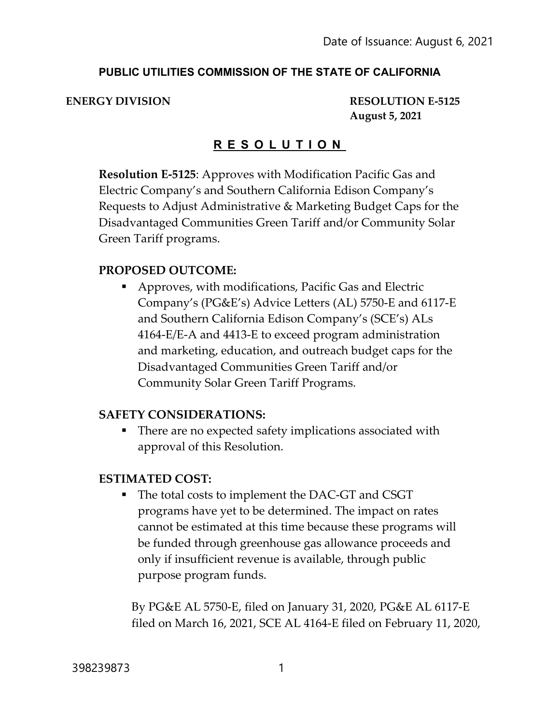#### **PUBLIC UTILITIES COMMISSION OF THE STATE OF CALIFORNIA**

**ENERGY DIVISION RESOLUTION E-5125 August 5, 2021**

# **R E S O L U T I O N**

**Resolution E-5125**: Approves with Modification Pacific Gas and Electric Company's and Southern California Edison Company's Requests to Adjust Administrative & Marketing Budget Caps for the Disadvantaged Communities Green Tariff and/or Community Solar Green Tariff programs.

#### **PROPOSED OUTCOME:**

 Approves, with modifications, Pacific Gas and Electric Company's (PG&E's) Advice Letters (AL) 5750-E and 6117-E and Southern California Edison Company's (SCE's) ALs 4164-E/E-A and 4413-E to exceed program administration and marketing, education, and outreach budget caps for the Disadvantaged Communities Green Tariff and/or Community Solar Green Tariff Programs.

#### **SAFETY CONSIDERATIONS:**

■ There are no expected safety implications associated with approval of this Resolution.

#### **ESTIMATED COST:**

■ The total costs to implement the DAC-GT and CSGT programs have yet to be determined. The impact on rates cannot be estimated at this time because these programs will be funded through greenhouse gas allowance proceeds and only if insufficient revenue is available, through public purpose program funds.

By PG&E AL 5750-E, filed on January 31, 2020, PG&E AL 6117-E filed on March 16, 2021, SCE AL 4164-E filed on February 11, 2020,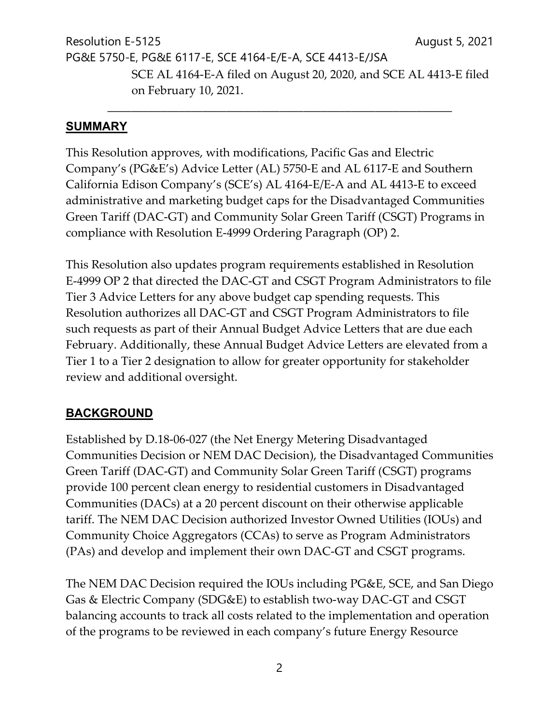Resolution E-5125 **August 5, 2021** PG&E 5750-E, PG&E 6117-E, SCE 4164-E/E-A, SCE 4413-E/JSA SCE AL 4164-E-A filed on August 20, 2020, and SCE AL 4413-E filed on February 10, 2021.

\_\_\_\_\_\_\_\_\_\_\_\_\_\_\_\_\_\_\_\_\_\_\_\_\_\_\_\_\_\_\_\_\_\_\_\_\_\_\_\_\_\_\_\_\_\_\_\_\_\_\_\_\_\_\_\_\_\_

#### **SUMMARY**

This Resolution approves, with modifications, Pacific Gas and Electric Company's (PG&E's) Advice Letter (AL) 5750-E and AL 6117-E and Southern California Edison Company's (SCE's) AL 4164-E/E-A and AL 4413-E to exceed administrative and marketing budget caps for the Disadvantaged Communities Green Tariff (DAC-GT) and Community Solar Green Tariff (CSGT) Programs in compliance with Resolution E-4999 Ordering Paragraph (OP) 2.

This Resolution also updates program requirements established in Resolution E-4999 OP 2 that directed the DAC-GT and CSGT Program Administrators to file Tier 3 Advice Letters for any above budget cap spending requests. This Resolution authorizes all DAC-GT and CSGT Program Administrators to file such requests as part of their Annual Budget Advice Letters that are due each February. Additionally, these Annual Budget Advice Letters are elevated from a Tier 1 to a Tier 2 designation to allow for greater opportunity for stakeholder review and additional oversight.

# **BACKGROUND**

Established by D.18-06-027 (the Net Energy Metering Disadvantaged Communities Decision or NEM DAC Decision), the Disadvantaged Communities Green Tariff (DAC-GT) and Community Solar Green Tariff (CSGT) programs provide 100 percent clean energy to residential customers in Disadvantaged Communities (DACs) at a 20 percent discount on their otherwise applicable tariff. The NEM DAC Decision authorized Investor Owned Utilities (IOUs) and Community Choice Aggregators (CCAs) to serve as Program Administrators (PAs) and develop and implement their own DAC-GT and CSGT programs.

The NEM DAC Decision required the IOUs including PG&E, SCE, and San Diego Gas & Electric Company (SDG&E) to establish two-way DAC-GT and CSGT balancing accounts to track all costs related to the implementation and operation of the programs to be reviewed in each company's future Energy Resource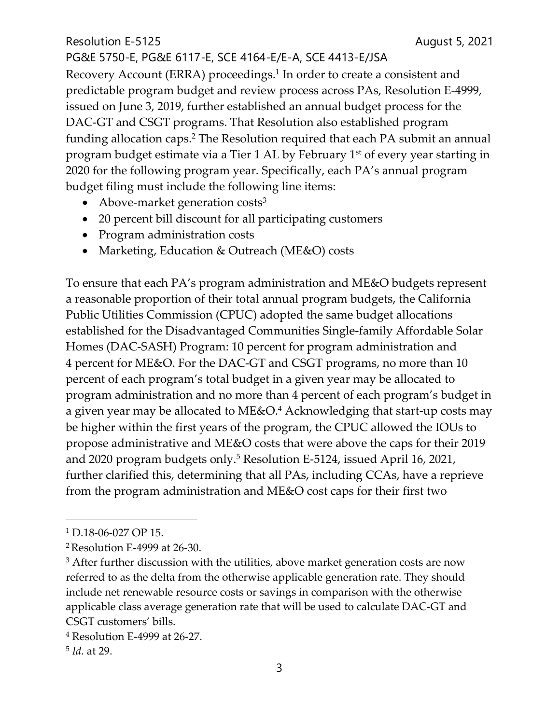PG&E 5750-E, PG&E 6117-E, SCE 4164-E/E-A, SCE 4413-E/JSA Recovery Account (ERRA) proceedings.<sup>1</sup> In order to create a consistent and predictable program budget and review process across PAs, Resolution E-4999, issued on June 3, 2019, further established an annual budget process for the DAC-GT and CSGT programs. That Resolution also established program funding allocation caps.<sup>2</sup> The Resolution required that each PA submit an annual program budget estimate via a Tier 1 AL by February 1<sup>st</sup> of every year starting in 2020 for the following program year. Specifically, each PA's annual program budget filing must include the following line items:

- Above-market generation costs<sup>3</sup>
- 20 percent bill discount for all participating customers
- Program administration costs
- Marketing, Education & Outreach (ME&O) costs

To ensure that each PA's program administration and ME&O budgets represent a reasonable proportion of their total annual program budgets, the California Public Utilities Commission (CPUC) adopted the same budget allocations established for the Disadvantaged Communities Single-family Affordable Solar Homes (DAC-SASH) Program: 10 percent for program administration and 4 percent for ME&O. For the DAC-GT and CSGT programs, no more than 10 percent of each program's total budget in a given year may be allocated to program administration and no more than 4 percent of each program's budget in a given year may be allocated to ME&O.<sup>4</sup> Acknowledging that start-up costs may be higher within the first years of the program, the CPUC allowed the IOUs to propose administrative and ME&O costs that were above the caps for their 2019 and 2020 program budgets only.<sup>5</sup> Resolution E-5124, issued April 16, 2021, further clarified this, determining that all PAs, including CCAs, have a reprieve from the program administration and ME&O cost caps for their first two

<sup>1</sup> D.18-06-027 OP 15.

<sup>2</sup>Resolution E-4999 at 26-30.

<sup>&</sup>lt;sup>3</sup> After further discussion with the utilities, above market generation costs are now referred to as the delta from the otherwise applicable generation rate. They should include net renewable resource costs or savings in comparison with the otherwise applicable class average generation rate that will be used to calculate DAC-GT and CSGT customers' bills.

<sup>4</sup> Resolution E-4999 at 26-27.

<sup>5</sup> *Id.* at 29.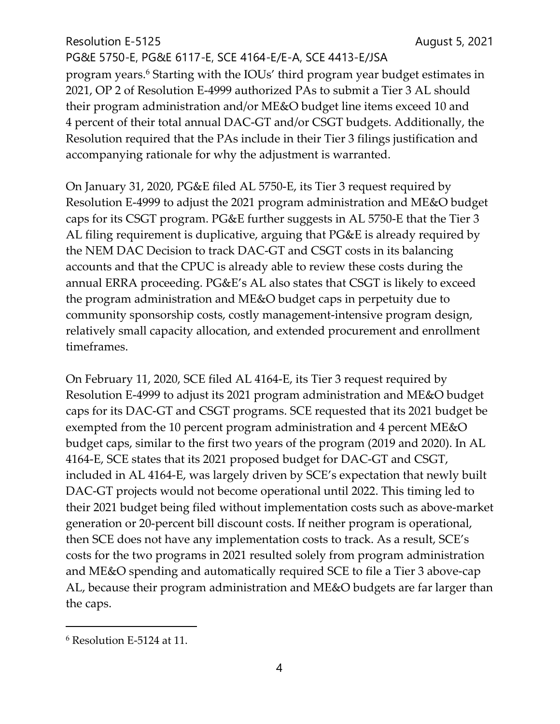PG&E 5750-E, PG&E 6117-E, SCE 4164-E/E-A, SCE 4413-E/JSA program years.<sup>6</sup> Starting with the IOUs' third program year budget estimates in 2021, OP 2 of Resolution E-4999 authorized PAs to submit a Tier 3 AL should their program administration and/or ME&O budget line items exceed 10 and 4 percent of their total annual DAC-GT and/or CSGT budgets. Additionally, the Resolution required that the PAs include in their Tier 3 filings justification and accompanying rationale for why the adjustment is warranted.

On January 31, 2020, PG&E filed AL 5750-E, its Tier 3 request required by Resolution E-4999 to adjust the 2021 program administration and ME&O budget caps for its CSGT program. PG&E further suggests in AL 5750-E that the Tier 3 AL filing requirement is duplicative, arguing that PG&E is already required by the NEM DAC Decision to track DAC-GT and CSGT costs in its balancing accounts and that the CPUC is already able to review these costs during the annual ERRA proceeding. PG&E's AL also states that CSGT is likely to exceed the program administration and ME&O budget caps in perpetuity due to community sponsorship costs, costly management-intensive program design, relatively small capacity allocation, and extended procurement and enrollment timeframes.

On February 11, 2020, SCE filed AL 4164-E, its Tier 3 request required by Resolution E-4999 to adjust its 2021 program administration and ME&O budget caps for its DAC-GT and CSGT programs. SCE requested that its 2021 budget be exempted from the 10 percent program administration and 4 percent ME&O budget caps, similar to the first two years of the program (2019 and 2020). In AL 4164-E, SCE states that its 2021 proposed budget for DAC-GT and CSGT, included in AL 4164-E, was largely driven by SCE's expectation that newly built DAC-GT projects would not become operational until 2022. This timing led to their 2021 budget being filed without implementation costs such as above-market generation or 20-percent bill discount costs. If neither program is operational, then SCE does not have any implementation costs to track. As a result, SCE's costs for the two programs in 2021 resulted solely from program administration and ME&O spending and automatically required SCE to file a Tier 3 above-cap AL, because their program administration and ME&O budgets are far larger than the caps.

<sup>6</sup> Resolution E-5124 at 11.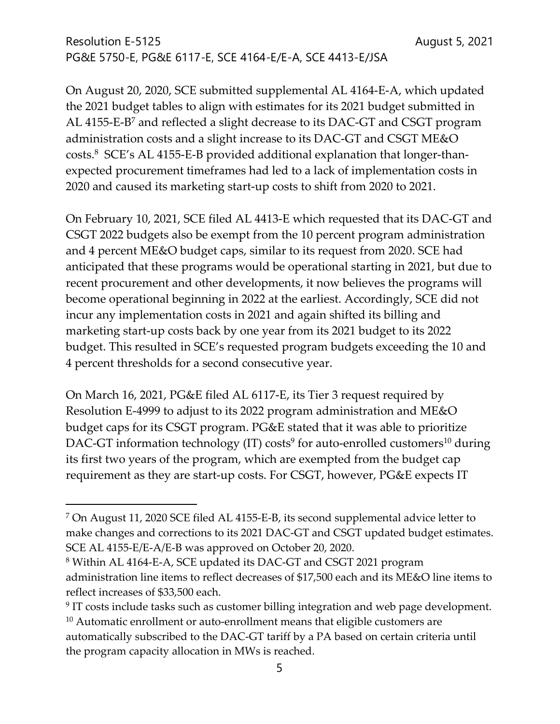On August 20, 2020, SCE submitted supplemental AL 4164-E-A, which updated the 2021 budget tables to align with estimates for its 2021 budget submitted in AL 4155-E-B<sup>7</sup> and reflected a slight decrease to its DAC-GT and CSGT program administration costs and a slight increase to its DAC-GT and CSGT ME&O costs.<sup>8</sup> SCE's AL 4155-E-B provided additional explanation that longer-thanexpected procurement timeframes had led to a lack of implementation costs in 2020 and caused its marketing start-up costs to shift from 2020 to 2021.

On February 10, 2021, SCE filed AL 4413-E which requested that its DAC-GT and CSGT 2022 budgets also be exempt from the 10 percent program administration and 4 percent ME&O budget caps, similar to its request from 2020. SCE had anticipated that these programs would be operational starting in 2021, but due to recent procurement and other developments, it now believes the programs will become operational beginning in 2022 at the earliest. Accordingly, SCE did not incur any implementation costs in 2021 and again shifted its billing and marketing start-up costs back by one year from its 2021 budget to its 2022 budget. This resulted in SCE's requested program budgets exceeding the 10 and 4 percent thresholds for a second consecutive year.

On March 16, 2021, PG&E filed AL 6117-E, its Tier 3 request required by Resolution E-4999 to adjust to its 2022 program administration and ME&O budget caps for its CSGT program. PG&E stated that it was able to prioritize DAC-GT information technology (IT) costs<sup>9</sup> for auto-enrolled customers<sup>10</sup> during its first two years of the program, which are exempted from the budget cap requirement as they are start-up costs. For CSGT, however, PG&E expects IT

<sup>7</sup> On August 11, 2020 SCE filed AL 4155-E-B, its second supplemental advice letter to make changes and corrections to its 2021 DAC-GT and CSGT updated budget estimates. SCE AL 4155-E/E-A/E-B was approved on October 20, 2020.

<sup>8</sup> Within AL 4164-E-A, SCE updated its DAC-GT and CSGT 2021 program administration line items to reflect decreases of \$17,500 each and its ME&O line items to reflect increases of \$33,500 each.

<sup>&</sup>lt;sup>9</sup> IT costs include tasks such as customer billing integration and web page development.  $10$  Automatic enrollment or auto-enrollment means that eligible customers are automatically subscribed to the DAC-GT tariff by a PA based on certain criteria until the program capacity allocation in MWs is reached.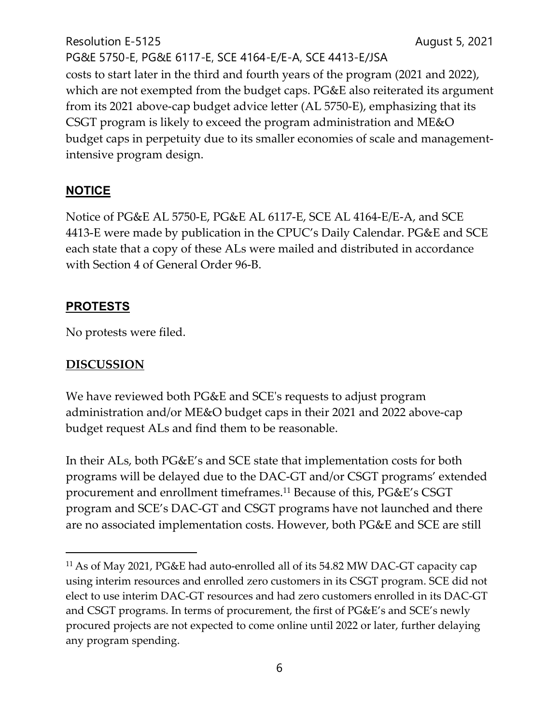Resolution E-5125 **August 5, 2021** PG&E 5750-E, PG&E 6117-E, SCE 4164-E/E-A, SCE 4413-E/JSA costs to start later in the third and fourth years of the program (2021 and 2022), which are not exempted from the budget caps. PG&E also reiterated its argument from its 2021 above-cap budget advice letter (AL 5750-E), emphasizing that its CSGT program is likely to exceed the program administration and ME&O budget caps in perpetuity due to its smaller economies of scale and managementintensive program design.

# **NOTICE**

Notice of PG&E AL 5750-E, PG&E AL 6117-E, SCE AL 4164-E/E-A, and SCE 4413-E were made by publication in the CPUC's Daily Calendar. PG&E and SCE each state that a copy of these ALs were mailed and distributed in accordance with Section 4 of General Order 96-B.

# **PROTESTS**

No protests were filed.

# **DISCUSSION**

We have reviewed both PG&E and SCE's requests to adjust program administration and/or ME&O budget caps in their 2021 and 2022 above-cap budget request ALs and find them to be reasonable.

In their ALs, both PG&E's and SCE state that implementation costs for both programs will be delayed due to the DAC-GT and/or CSGT programs' extended procurement and enrollment timeframes.<sup>11</sup> Because of this, PG&E's CSGT program and SCE's DAC-GT and CSGT programs have not launched and there are no associated implementation costs. However, both PG&E and SCE are still

<sup>11</sup> As of May 2021, PG&E had auto-enrolled all of its 54.82 MW DAC-GT capacity cap using interim resources and enrolled zero customers in its CSGT program. SCE did not elect to use interim DAC-GT resources and had zero customers enrolled in its DAC-GT and CSGT programs. In terms of procurement, the first of PG&E's and SCE's newly procured projects are not expected to come online until 2022 or later, further delaying any program spending.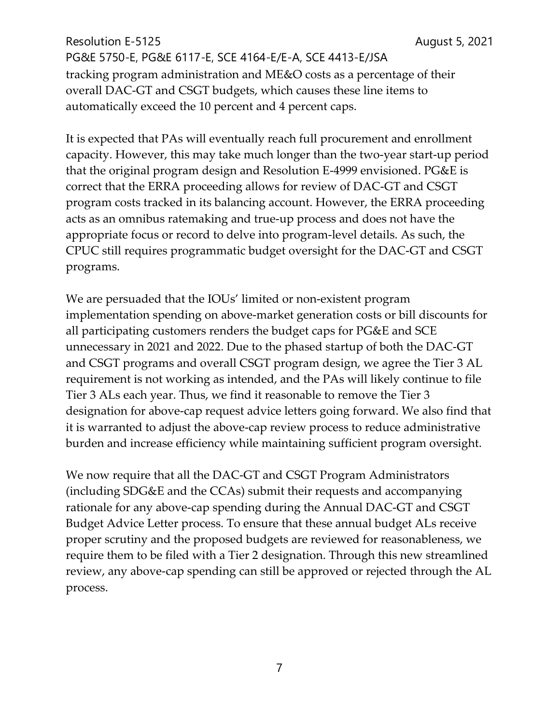Resolution E-5125 **August 5, 2021** PG&E 5750-E, PG&E 6117-E, SCE 4164-E/E-A, SCE 4413-E/JSA tracking program administration and ME&O costs as a percentage of their overall DAC-GT and CSGT budgets, which causes these line items to automatically exceed the 10 percent and 4 percent caps.

It is expected that PAs will eventually reach full procurement and enrollment capacity. However, this may take much longer than the two-year start-up period that the original program design and Resolution E-4999 envisioned. PG&E is correct that the ERRA proceeding allows for review of DAC-GT and CSGT program costs tracked in its balancing account. However, the ERRA proceeding acts as an omnibus ratemaking and true-up process and does not have the appropriate focus or record to delve into program-level details. As such, the CPUC still requires programmatic budget oversight for the DAC-GT and CSGT programs.

We are persuaded that the IOUs' limited or non-existent program implementation spending on above-market generation costs or bill discounts for all participating customers renders the budget caps for PG&E and SCE unnecessary in 2021 and 2022. Due to the phased startup of both the DAC-GT and CSGT programs and overall CSGT program design, we agree the Tier 3 AL requirement is not working as intended, and the PAs will likely continue to file Tier 3 ALs each year. Thus, we find it reasonable to remove the Tier 3 designation for above-cap request advice letters going forward. We also find that it is warranted to adjust the above-cap review process to reduce administrative burden and increase efficiency while maintaining sufficient program oversight.

We now require that all the DAC-GT and CSGT Program Administrators (including SDG&E and the CCAs) submit their requests and accompanying rationale for any above-cap spending during the Annual DAC-GT and CSGT Budget Advice Letter process. To ensure that these annual budget ALs receive proper scrutiny and the proposed budgets are reviewed for reasonableness, we require them to be filed with a Tier 2 designation. Through this new streamlined review, any above-cap spending can still be approved or rejected through the AL process.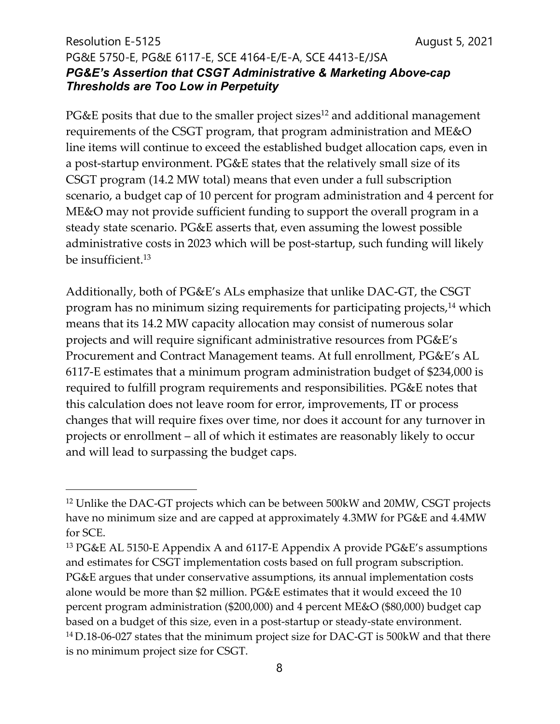### Resolution E-5125 **August 5, 2021** PG&E 5750-E, PG&E 6117-E, SCE 4164-E/E-A, SCE 4413-E/JSA *PG&E's Assertion that CSGT Administrative & Marketing Above-cap Thresholds are Too Low in Perpetuity*

PG&E posits that due to the smaller project sizes<sup>12</sup> and additional management requirements of the CSGT program, that program administration and ME&O line items will continue to exceed the established budget allocation caps, even in a post-startup environment. PG&E states that the relatively small size of its CSGT program (14.2 MW total) means that even under a full subscription scenario, a budget cap of 10 percent for program administration and 4 percent for ME&O may not provide sufficient funding to support the overall program in a steady state scenario. PG&E asserts that, even assuming the lowest possible administrative costs in 2023 which will be post-startup, such funding will likely be insufficient.<sup>13</sup>

Additionally, both of PG&E's ALs emphasize that unlike DAC-GT, the CSGT program has no minimum sizing requirements for participating projects,<sup>14</sup> which means that its 14.2 MW capacity allocation may consist of numerous solar projects and will require significant administrative resources from PG&E's Procurement and Contract Management teams. At full enrollment, PG&E's AL 6117-E estimates that a minimum program administration budget of \$234,000 is required to fulfill program requirements and responsibilities. PG&E notes that this calculation does not leave room for error, improvements, IT or process changes that will require fixes over time, nor does it account for any turnover in projects or enrollment – all of which it estimates are reasonably likely to occur and will lead to surpassing the budget caps.

<sup>&</sup>lt;sup>12</sup> Unlike the DAC-GT projects which can be between 500kW and 20MW, CSGT projects have no minimum size and are capped at approximately 4.3MW for PG&E and 4.4MW for SCE.

<sup>13</sup> PG&E AL 5150-E Appendix A and 6117-E Appendix A provide PG&E's assumptions and estimates for CSGT implementation costs based on full program subscription. PG&E argues that under conservative assumptions, its annual implementation costs alone would be more than \$2 million. PG&E estimates that it would exceed the 10 percent program administration (\$200,000) and 4 percent ME&O (\$80,000) budget cap based on a budget of this size, even in a post-startup or steady-state environment. <sup>14</sup> D.18-06-027 states that the minimum project size for DAC-GT is 500kW and that there is no minimum project size for CSGT.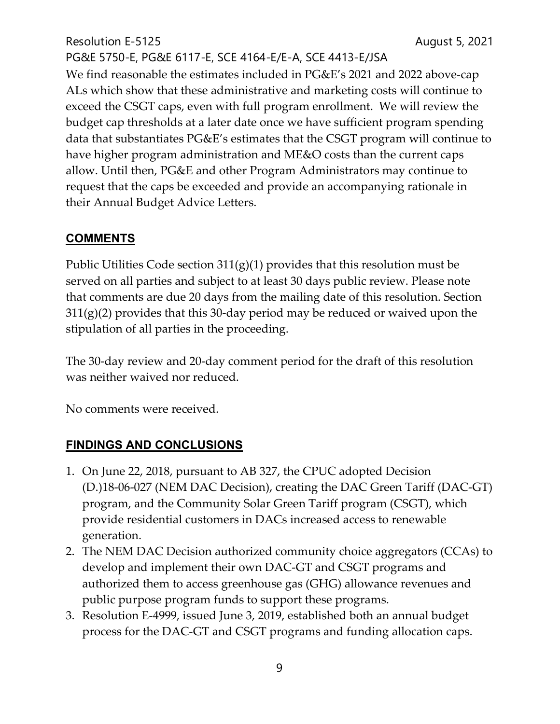PG&E 5750-E, PG&E 6117-E, SCE 4164-E/E-A, SCE 4413-E/JSA We find reasonable the estimates included in PG&E's 2021 and 2022 above-cap ALs which show that these administrative and marketing costs will continue to exceed the CSGT caps, even with full program enrollment. We will review the budget cap thresholds at a later date once we have sufficient program spending data that substantiates PG&E's estimates that the CSGT program will continue to have higher program administration and ME&O costs than the current caps allow. Until then, PG&E and other Program Administrators may continue to request that the caps be exceeded and provide an accompanying rationale in their Annual Budget Advice Letters.

# **COMMENTS**

Public Utilities Code section  $311(g)(1)$  provides that this resolution must be served on all parties and subject to at least 30 days public review. Please note that comments are due 20 days from the mailing date of this resolution. Section 311(g)(2) provides that this 30-day period may be reduced or waived upon the stipulation of all parties in the proceeding.

The 30-day review and 20-day comment period for the draft of this resolution was neither waived nor reduced.

No comments were received.

# **FINDINGS AND CONCLUSIONS**

- 1. On June 22, 2018, pursuant to AB 327, the CPUC adopted Decision (D.)18-06-027 (NEM DAC Decision), creating the DAC Green Tariff (DAC-GT) program, and the Community Solar Green Tariff program (CSGT), which provide residential customers in DACs increased access to renewable generation.
- 2. The NEM DAC Decision authorized community choice aggregators (CCAs) to develop and implement their own DAC-GT and CSGT programs and authorized them to access greenhouse gas (GHG) allowance revenues and public purpose program funds to support these programs.
- 3. Resolution E-4999, issued June 3, 2019, established both an annual budget process for the DAC-GT and CSGT programs and funding allocation caps.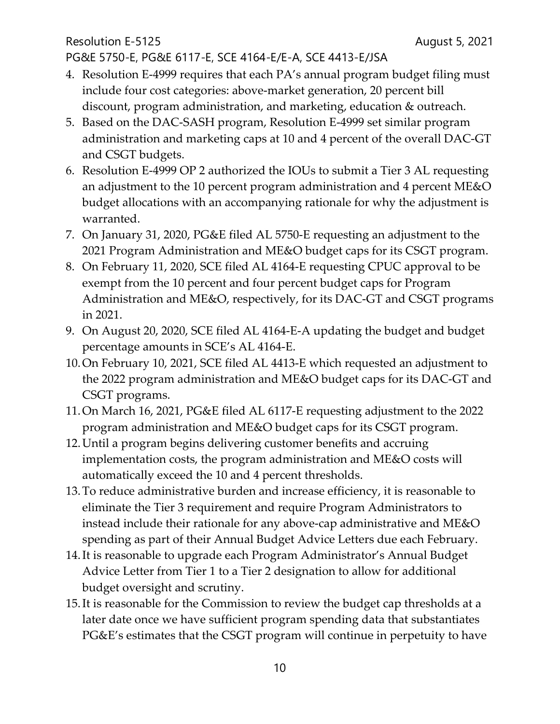Resolution E-5125 **August 5, 2021** PG&E 5750-E, PG&E 6117-E, SCE 4164-E/E-A, SCE 4413-E/JSA

- 4. Resolution E-4999 requires that each PA's annual program budget filing must include four cost categories: above-market generation, 20 percent bill discount, program administration, and marketing, education & outreach.
- 5. Based on the DAC-SASH program, Resolution E-4999 set similar program administration and marketing caps at 10 and 4 percent of the overall DAC-GT and CSGT budgets.
- 6. Resolution E-4999 OP 2 authorized the IOUs to submit a Tier 3 AL requesting an adjustment to the 10 percent program administration and 4 percent ME&O budget allocations with an accompanying rationale for why the adjustment is warranted.
- 7. On January 31, 2020, PG&E filed AL 5750-E requesting an adjustment to the 2021 Program Administration and ME&O budget caps for its CSGT program.
- 8. On February 11, 2020, SCE filed AL 4164-E requesting CPUC approval to be exempt from the 10 percent and four percent budget caps for Program Administration and ME&O, respectively, for its DAC-GT and CSGT programs in 2021.
- 9. On August 20, 2020, SCE filed AL 4164-E-A updating the budget and budget percentage amounts in SCE's AL 4164-E.
- 10.On February 10, 2021, SCE filed AL 4413-E which requested an adjustment to the 2022 program administration and ME&O budget caps for its DAC-GT and CSGT programs.
- 11.On March 16, 2021, PG&E filed AL 6117-E requesting adjustment to the 2022 program administration and ME&O budget caps for its CSGT program.
- 12.Until a program begins delivering customer benefits and accruing implementation costs, the program administration and ME&O costs will automatically exceed the 10 and 4 percent thresholds.
- 13.To reduce administrative burden and increase efficiency, it is reasonable to eliminate the Tier 3 requirement and require Program Administrators to instead include their rationale for any above-cap administrative and ME&O spending as part of their Annual Budget Advice Letters due each February.
- 14.It is reasonable to upgrade each Program Administrator's Annual Budget Advice Letter from Tier 1 to a Tier 2 designation to allow for additional budget oversight and scrutiny.
- 15.It is reasonable for the Commission to review the budget cap thresholds at a later date once we have sufficient program spending data that substantiates PG&E's estimates that the CSGT program will continue in perpetuity to have